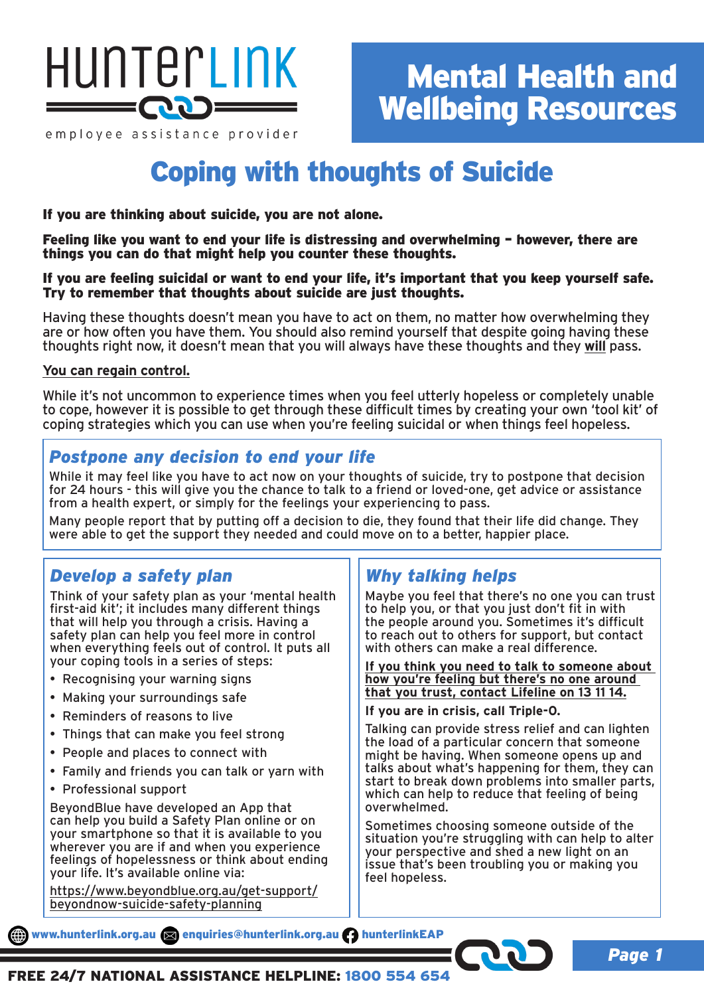

employee assistance provider

# Coping with thoughts of Suicide

## If you are thinking about suicide, you are not alone.

Feeling like you want to end your life is distressing and overwhelming – however, there are things you can do that might help you counter these thoughts.

#### If you are feeling suicidal or want to end your life, it's important that you keep yourself safe. Try to remember that thoughts about suicide are just thoughts.

Having these thoughts doesn't mean you have to act on them, no matter how overwhelming they are or how often you have them. You should also remind yourself that despite going having these thoughts right now, it doesn't mean that you will always have these thoughts and they **will** pass.

### **You can regain control.**

While it's not uncommon to experience times when you feel utterly hopeless or completely unable to cope, however it is possible to get through these difficult times by creating your own 'tool kit' of coping strategies which you can use when you're feeling suicidal or when things feel hopeless.

## *Postpone any decision to end your life*

While it may feel like you have to act now on your thoughts of suicide, try to postpone that decision for 24 hours - this will give you the chance to talk to a friend or loved-one, get advice or assistance from a health expert, or simply for the feelings your experiencing to pass.

Many people report that by putting off a decision to die, they found that their life did change. They were able to get the support they needed and could move on to a better, happier place.

## *Develop a safety plan*

Think of your safety plan as your 'mental health first-aid kit'; it includes many different things that will help you through a crisis. Having a safety plan can help you feel more in control when everything feels out of control. It puts all your coping tools in a series of steps:

- Recognising your warning signs
- Making your surroundings safe
- Reminders of reasons to live
- Things that can make you feel strong
- People and places to connect with
- Family and friends you can talk or yarn with
- Professional support

BeyondBlue have developed an App that can help you build a Safety Plan online or on your smartphone so that it is available to you wherever you are if and when you experience feelings of hopelessness or think about ending your life. It's available online via:

https://www.beyondblue.org.au/get-support/ beyondnow-suicide-safety-planning

## *Why talking helps*

Maybe you feel that there's no one you can trust to help you, or that you just don't fit in with the people around you. Sometimes it's difficult to reach out to others for support, but contact with others can make a real difference.

**If you think you need to talk to someone about how you're feeling but there's no one around that you trust, contact Lifeline on 13 11 14.**

**If you are in crisis, call Triple-0.**

Talking can provide stress relief and can lighten the load of a particular concern that someone might be having. When someone opens up and talks about what's happening for them, they can start to break down problems into smaller parts, which can help to reduce that feeling of being overwhelmed.

Sometimes choosing someone outside of the situation you're struggling with can help to alter your perspective and shed a new light on an issue that's been troubling you or making you feel hopeless.

www.hunterlink.org.au and enquiries@hunterlink.org.au hunterlinkEAP